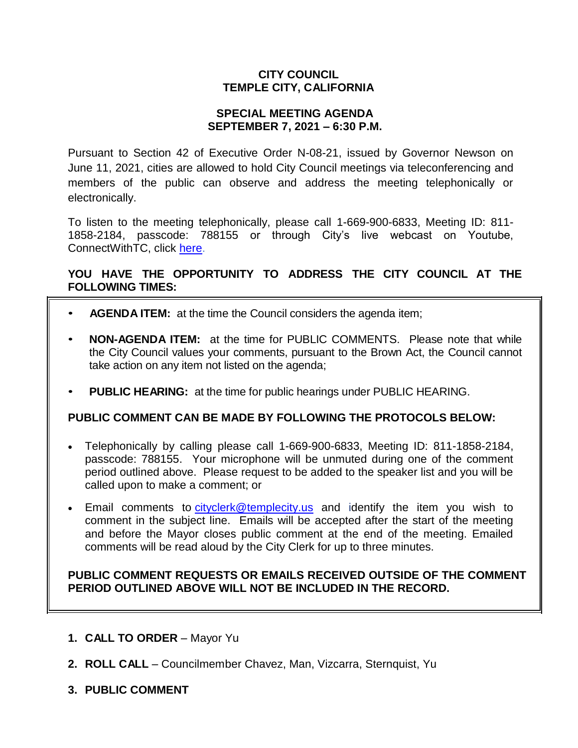# **CITY COUNCIL TEMPLE CITY, CALIFORNIA**

#### **SPECIAL MEETING AGENDA SEPTEMBER 7, 2021 – 6:30 P.M.**

Pursuant to Section 42 of Executive Order N-08-21, issued by Governor Newson on June 11, 2021, cities are allowed to hold City Council meetings via teleconferencing and members of the public can observe and address the meeting telephonically or electronically.

To listen to the meeting telephonically, please call 1-669-900-6833, Meeting ID: 811- 1858-2184, passcode: 788155 or through City's live webcast on Youtube, ConnectWithTC, click [here.](https://www.ci.temple-city.ca.us/516/Meeting-Webcast)

# **YOU HAVE THE OPPORTUNITY TO ADDRESS THE CITY COUNCIL AT THE FOLLOWING TIMES:**

- **AGENDA ITEM:** at the time the Council considers the agenda item;
- **NON-AGENDA ITEM:** at the time for PUBLIC COMMENTS. Please note that while the City Council values your comments, pursuant to the Brown Act, the Council cannot take action on any item not listed on the agenda;
- **PUBLIC HEARING:** at the time for public hearings under PUBLIC HEARING.

#### **PUBLIC COMMENT CAN BE MADE BY FOLLOWING THE PROTOCOLS BELOW:**

- Telephonically by calling please call 1-669-900-6833, Meeting ID: 811-1858-2184, passcode: 788155. Your microphone will be unmuted during one of the comment period outlined above. Please request to be added to the speaker list and you will be called upon to make a comment; or
- Email comments to [cityclerk@templecity.us](mailto:cityclerk@templecity.us) and identify the item you wish to comment in the subject line. Emails will be accepted after the start of the meeting and before the Mayor closes public comment at the end of the meeting. Emailed comments will be read aloud by the City Clerk for up to three minutes.

#### **PUBLIC COMMENT REQUESTS OR EMAILS RECEIVED OUTSIDE OF THE COMMENT PERIOD OUTLINED ABOVE WILL NOT BE INCLUDED IN THE RECORD.**

- **1. CALL TO ORDER**  Mayor Yu
- **2. ROLL CALL**  Councilmember Chavez, Man, Vizcarra, Sternquist, Yu
- **3. PUBLIC COMMENT**